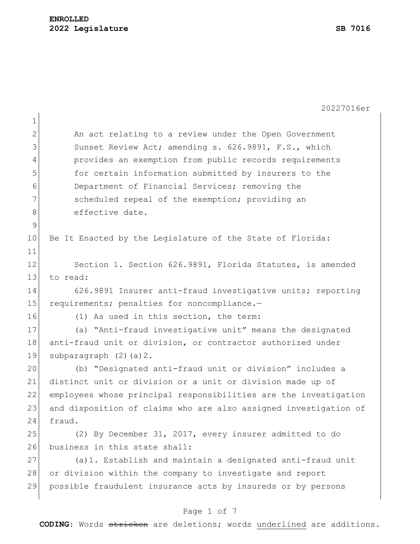|              | 20227016er                                                       |
|--------------|------------------------------------------------------------------|
| $\mathbf 1$  |                                                                  |
| $\mathbf{2}$ | An act relating to a review under the Open Government            |
| 3            | Sunset Review Act; amending s. 626.9891, F.S., which             |
| 4            | provides an exemption from public records requirements           |
| 5            | for certain information submitted by insurers to the             |
| 6            | Department of Financial Services; removing the                   |
| 7            | scheduled repeal of the exemption; providing an                  |
| 8            | effective date.                                                  |
| $\mathsf 9$  |                                                                  |
| 10           | Be It Enacted by the Legislature of the State of Florida:        |
| 11           |                                                                  |
| 12           | Section 1. Section 626.9891, Florida Statutes, is amended        |
| 13           | to read:                                                         |
| 14           | 626.9891 Insurer anti-fraud investigative units; reporting       |
| 15           | requirements; penalties for noncompliance.-                      |
| 16           | (1) As used in this section, the term:                           |
| 17           | (a) "Anti-fraud investigative unit" means the designated         |
| 18           | anti-fraud unit or division, or contractor authorized under      |
| 19           | subparagraph $(2)$ $(a)$ $2$ .                                   |
| 20           | (b) "Designated anti-fraud unit or division" includes a          |
| 21           | distinct unit or division or a unit or division made up of       |
| 22           | employees whose principal responsibilities are the investigation |
| 23           | and disposition of claims who are also assigned investigation of |
| 24           | fraud.                                                           |
| 25           | (2) By December 31, 2017, every insurer admitted to do           |
| 26           | business in this state shall:                                    |
| 27           | (a) 1. Establish and maintain a designated anti-fraud unit       |
| 28           | or division within the company to investigate and report         |
| 29           | possible fraudulent insurance acts by insureds or by persons     |
|              |                                                                  |
|              | Page 1 of 7                                                      |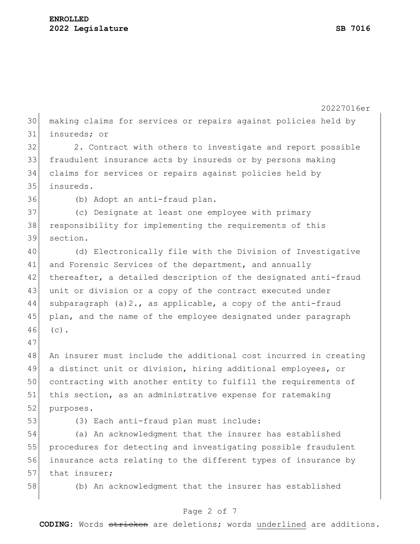|    | 20227016er                                                                                                                       |  |  |  |  |  |  |  |  |
|----|----------------------------------------------------------------------------------------------------------------------------------|--|--|--|--|--|--|--|--|
| 30 | making claims for services or repairs against policies held by                                                                   |  |  |  |  |  |  |  |  |
| 31 | insureds; or                                                                                                                     |  |  |  |  |  |  |  |  |
| 32 | 2. Contract with others to investigate and report possible                                                                       |  |  |  |  |  |  |  |  |
| 33 | fraudulent insurance acts by insureds or by persons making                                                                       |  |  |  |  |  |  |  |  |
| 34 | claims for services or repairs against policies held by                                                                          |  |  |  |  |  |  |  |  |
| 35 | insureds.                                                                                                                        |  |  |  |  |  |  |  |  |
| 36 | (b) Adopt an anti-fraud plan.                                                                                                    |  |  |  |  |  |  |  |  |
| 37 | (c) Designate at least one employee with primary                                                                                 |  |  |  |  |  |  |  |  |
| 38 | responsibility for implementing the requirements of this                                                                         |  |  |  |  |  |  |  |  |
| 39 | section.                                                                                                                         |  |  |  |  |  |  |  |  |
| 40 | (d) Electronically file with the Division of Investigative                                                                       |  |  |  |  |  |  |  |  |
| 41 | and Forensic Services of the department, and annually                                                                            |  |  |  |  |  |  |  |  |
| 42 | thereafter, a detailed description of the designated anti-fraud                                                                  |  |  |  |  |  |  |  |  |
| 43 | unit or division or a copy of the contract executed under                                                                        |  |  |  |  |  |  |  |  |
| 44 |                                                                                                                                  |  |  |  |  |  |  |  |  |
| 45 | subparagraph $(a) 2.$ , as applicable, a copy of the anti-fraud<br>plan, and the name of the employee designated under paragraph |  |  |  |  |  |  |  |  |
| 46 | $(c)$ .                                                                                                                          |  |  |  |  |  |  |  |  |
| 47 |                                                                                                                                  |  |  |  |  |  |  |  |  |
| 48 | An insurer must include the additional cost incurred in creating                                                                 |  |  |  |  |  |  |  |  |
| 49 | a distinct unit or division, hiring additional employees, or                                                                     |  |  |  |  |  |  |  |  |
| 50 | contracting with another entity to fulfill the requirements of                                                                   |  |  |  |  |  |  |  |  |
| 51 | this section, as an administrative expense for ratemaking                                                                        |  |  |  |  |  |  |  |  |
| 52 | purposes.                                                                                                                        |  |  |  |  |  |  |  |  |
| 53 | (3) Each anti-fraud plan must include:                                                                                           |  |  |  |  |  |  |  |  |
| 54 | (a) An acknowledgment that the insurer has established                                                                           |  |  |  |  |  |  |  |  |
| 55 | procedures for detecting and investigating possible fraudulent                                                                   |  |  |  |  |  |  |  |  |
| 56 | insurance acts relating to the different types of insurance by                                                                   |  |  |  |  |  |  |  |  |
| 57 | that insurer;                                                                                                                    |  |  |  |  |  |  |  |  |
| 58 | (b) An acknowledgment that the insurer has established                                                                           |  |  |  |  |  |  |  |  |
|    |                                                                                                                                  |  |  |  |  |  |  |  |  |
|    | Page 2 of 7                                                                                                                      |  |  |  |  |  |  |  |  |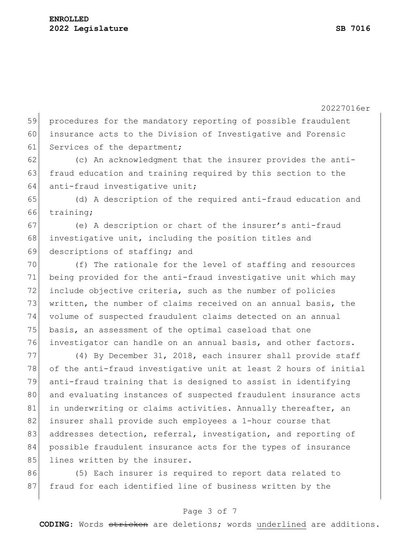20227016er 59 procedures for the mandatory reporting of possible fraudulent 60 insurance acts to the Division of Investigative and Forensic 61 Services of the department; 62 (c) An acknowledgment that the insurer provides the anti-63 fraud education and training required by this section to the 64 anti-fraud investigative unit; 65 (d) A description of the required anti-fraud education and 66 training; 67 (e) A description or chart of the insurer's anti-fraud 68 investigative unit, including the position titles and 69 descriptions of staffing; and 70 (f) The rationale for the level of staffing and resources 71 being provided for the anti-fraud investigative unit which may 72 include objective criteria, such as the number of policies 73 written, the number of claims received on an annual basis, the 74 volume of suspected fraudulent claims detected on an annual 75 basis, an assessment of the optimal caseload that one 76 investigator can handle on an annual basis, and other factors. 77 (4) By December 31, 2018, each insurer shall provide staff 78 of the anti-fraud investigative unit at least 2 hours of initial 79 anti-fraud training that is designed to assist in identifying 80 and evaluating instances of suspected fraudulent insurance acts 81 in underwriting or claims activities. Annually thereafter, an 82 insurer shall provide such employees a 1-hour course that 83 addresses detection, referral, investigation, and reporting of 84 possible fraudulent insurance acts for the types of insurance 85 lines written by the insurer.

86 (5) Each insurer is required to report data related to 87 fraud for each identified line of business written by the

### Page 3 of 7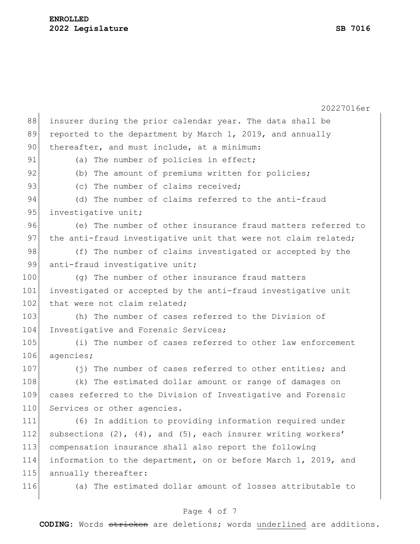|     | 20227016er                                                            |  |  |  |  |  |  |  |  |
|-----|-----------------------------------------------------------------------|--|--|--|--|--|--|--|--|
| 88  | insurer during the prior calendar year. The data shall be             |  |  |  |  |  |  |  |  |
| 89  | reported to the department by March 1, 2019, and annually             |  |  |  |  |  |  |  |  |
| 90  | thereafter, and must include, at a minimum:                           |  |  |  |  |  |  |  |  |
| 91  | (a) The number of policies in effect;                                 |  |  |  |  |  |  |  |  |
| 92  | (b) The amount of premiums written for policies;                      |  |  |  |  |  |  |  |  |
| 93  | (c) The number of claims received;                                    |  |  |  |  |  |  |  |  |
| 94  | (d) The number of claims referred to the anti-fraud                   |  |  |  |  |  |  |  |  |
| 95  | investigative unit;                                                   |  |  |  |  |  |  |  |  |
| 96  | (e) The number of other insurance fraud matters referred to           |  |  |  |  |  |  |  |  |
| 97  | the anti-fraud investigative unit that were not claim related;        |  |  |  |  |  |  |  |  |
| 98  | (f) The number of claims investigated or accepted by the              |  |  |  |  |  |  |  |  |
| 99  | anti-fraud investigative unit;                                        |  |  |  |  |  |  |  |  |
| 100 | (q) The number of other insurance fraud matters                       |  |  |  |  |  |  |  |  |
| 101 | investigated or accepted by the anti-fraud investigative unit         |  |  |  |  |  |  |  |  |
| 102 | that were not claim related;                                          |  |  |  |  |  |  |  |  |
| 103 | (h) The number of cases referred to the Division of                   |  |  |  |  |  |  |  |  |
| 104 | Investigative and Forensic Services;                                  |  |  |  |  |  |  |  |  |
| 105 | (i) The number of cases referred to other law enforcement             |  |  |  |  |  |  |  |  |
| 106 | agencies;                                                             |  |  |  |  |  |  |  |  |
| 107 | (j) The number of cases referred to other entities; and               |  |  |  |  |  |  |  |  |
| 108 | (k) The estimated dollar amount or range of damages on                |  |  |  |  |  |  |  |  |
| 109 | cases referred to the Division of Investigative and Forensic          |  |  |  |  |  |  |  |  |
| 110 | Services or other agencies.                                           |  |  |  |  |  |  |  |  |
| 111 | (6) In addition to providing information required under               |  |  |  |  |  |  |  |  |
| 112 | subsections $(2)$ , $(4)$ , and $(5)$ , each insurer writing workers' |  |  |  |  |  |  |  |  |
| 113 | compensation insurance shall also report the following                |  |  |  |  |  |  |  |  |
| 114 | information to the department, on or before March 1, 2019, and        |  |  |  |  |  |  |  |  |
| 115 | annually thereafter:                                                  |  |  |  |  |  |  |  |  |
| 116 | (a) The estimated dollar amount of losses attributable to             |  |  |  |  |  |  |  |  |

# Page 4 of 7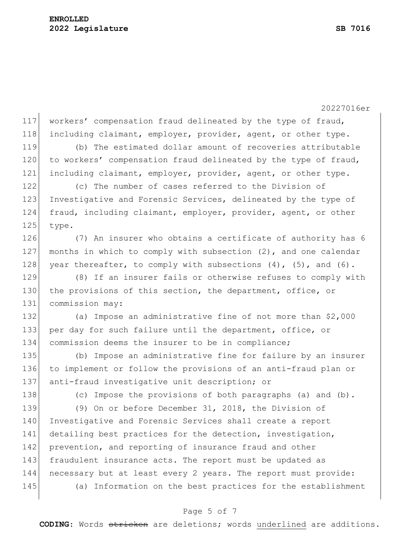20227016er

117 workers' compensation fraud delineated by the type of fraud, 118 including claimant, employer, provider, agent, or other type.

119 (b) The estimated dollar amount of recoveries attributable 120 to workers' compensation fraud delineated by the type of fraud, 121 including claimant, employer, provider, agent, or other type.

122 (c) The number of cases referred to the Division of 123 Investigative and Forensic Services, delineated by the type of 124 fraud, including claimant, employer, provider, agent, or other 125 type.

126 (7) An insurer who obtains a certificate of authority has 6 127 months in which to comply with subsection (2), and one calendar 128 year thereafter, to comply with subsections  $(4)$ ,  $(5)$ , and  $(6)$ .

129 (8) If an insurer fails or otherwise refuses to comply with 130 the provisions of this section, the department, office, or 131 commission may:

132 (a) Impose an administrative fine of not more than \$2,000 133 per day for such failure until the department, office, or 134 commission deems the insurer to be in compliance;

135 (b) Impose an administrative fine for failure by an insurer 136 to implement or follow the provisions of an anti-fraud plan or 137 anti-fraud investigative unit description; or

138 (c) Impose the provisions of both paragraphs (a) and (b).

139 (9) On or before December 31, 2018, the Division of 140 Investigative and Forensic Services shall create a report 141 detailing best practices for the detection, investigation, 142 prevention, and reporting of insurance fraud and other 143 fraudulent insurance acts. The report must be updated as 144 necessary but at least every 2 years. The report must provide: 145 (a) Information on the best practices for the establishment

## Page 5 of 7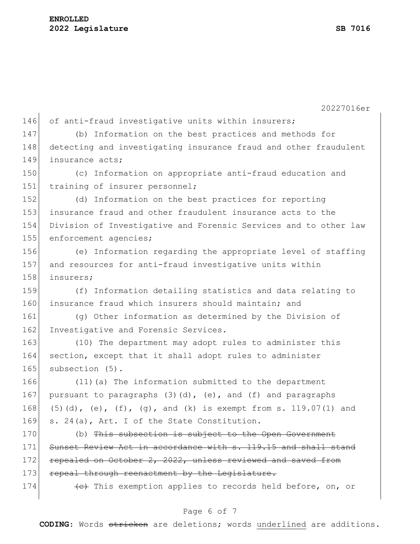20227016er 146 of anti-fraud investigative units within insurers; 147 (b) Information on the best practices and methods for 148 detecting and investigating insurance fraud and other fraudulent 149 insurance acts: 150 (c) Information on appropriate anti-fraud education and 151 training of insurer personnel; 152 (d) Information on the best practices for reporting 153 insurance fraud and other fraudulent insurance acts to the 154 Division of Investigative and Forensic Services and to other law 155 enforcement agencies; 156 (e) Information regarding the appropriate level of staffing 157 and resources for anti-fraud investigative units within 158 insurers; 159 (f) Information detailing statistics and data relating to 160 insurance fraud which insurers should maintain; and 161 (g) Other information as determined by the Division of 162 Investigative and Forensic Services. 163 (10) The department may adopt rules to administer this 164 section, except that it shall adopt rules to administer 165 subsection (5). 166 (11)(a) The information submitted to the department 167 pursuant to paragraphs  $(3)(d)$ ,  $(e)$ , and  $(f)$  and paragraphs 168 (5)(d), (e),  $(f)$ , (g), and (k) is exempt from s. 119.07(1) and 169 s. 24(a), Art. I of the State Constitution. 170 (b) This subsection is subject to the Open Government 171 Sunset Review Act in accordance with s. 119.15 and shall stand 172 repealed on October 2, 2022, unless reviewed and saved from 173 repeal through reenactment by the Legislature. 174 (e) This exemption applies to records held before, on, or

#### Page 6 of 7